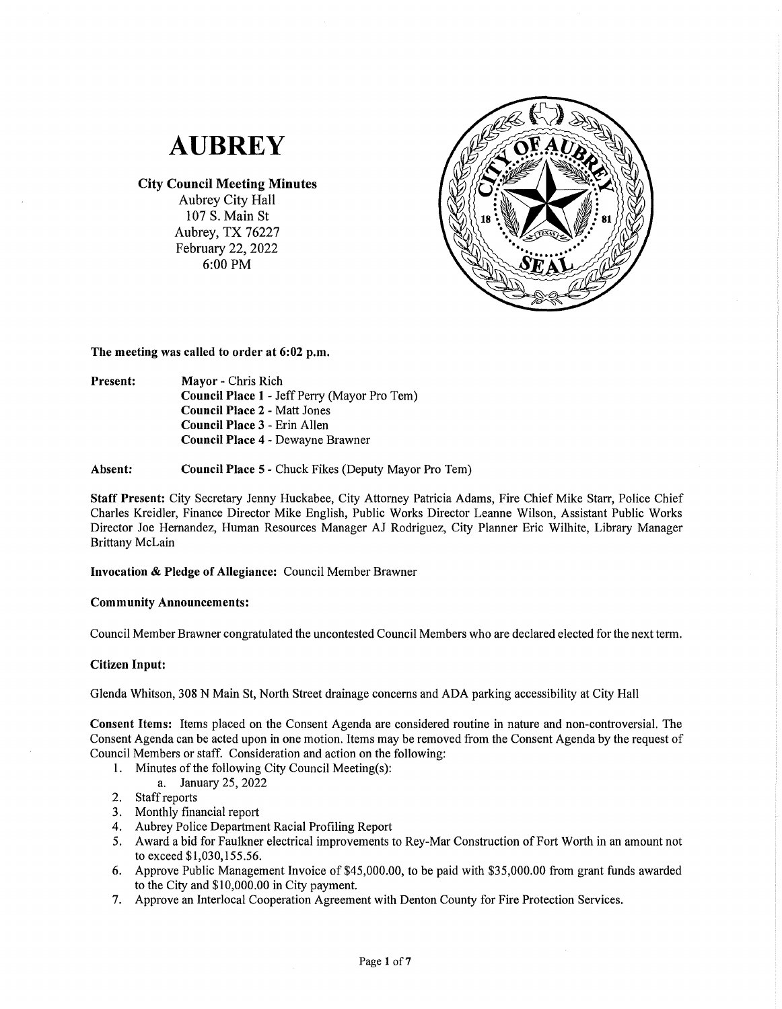# **AUBREY**

# **City Council Meeting Minutes**

Aubrey City Hall 107 S. Main St Aubrey, TX 76227 February 22, 2022 6:00PM



**The meeting was called to order at 6:02 p.m.** 

**Present: Mayor** - Chris Rich **Council Place 1** - Jeff Perry (Mayor Pro Tern) **Council Place 2** - Matt Jones **Council Place 3** - Erin Allen **Council Place 4** - Dewayne Brawner

**Absent: Council Place 5** - Chuck Fikes (Deputy Mayor Pro Tern)

**Staff Present:** City Secretary Jenny Huckabee, City Attorney Patricia Adams, Fire Chief Mike Starr, Police Chief Charles Kreidler, Finance Director Mike English, Public Works Director Leanne Wilson, Assistant Public Works Director Joe Hernandez, Human Resources Manager AJ Rodriguez, City Planner Eric Wilhite, Library Manager Brittany McLain

# **Invocation** & **Pledge of Allegiance:** Council Member Brawner

# **Community Announcements:**

Council Member Brawner congratulated the uncontested Council Members who are declared elected for the next term.

# **Citizen Input:**

Glenda Whitson, 308 N Main St, North Street drainage concerns and ADA parking accessibility at City Hall

**Consent Items:** Items placed on the Consent Agenda are considered routine in nature and non-controversial. The Consent Agenda can be acted upon in one motion. Items may be removed from the Consent Agenda by the request of Council Members or staff. Consideration and action on the following:

1. Minutes of the following City Council Meeting(s):

a. January 25, 2022

- 2. Staff reports
- 3. Monthly financial report
- 4. Aubrey Police Department Racial Profiling Report
- 5. Award a bid for Faulkner electrical improvements to Rey-Mar Construction of Fort Worth in an amount not to exceed \$1,030,155.56.
- 6. Approve Public Management Invoice of \$45,000.00, to be paid with \$35,000.00 from grant funds awarded to the City and \$10,000.00 in City payment.
- 7. Approve an Interlocal Cooperation Agreement with Denton County for Fire Protection Services.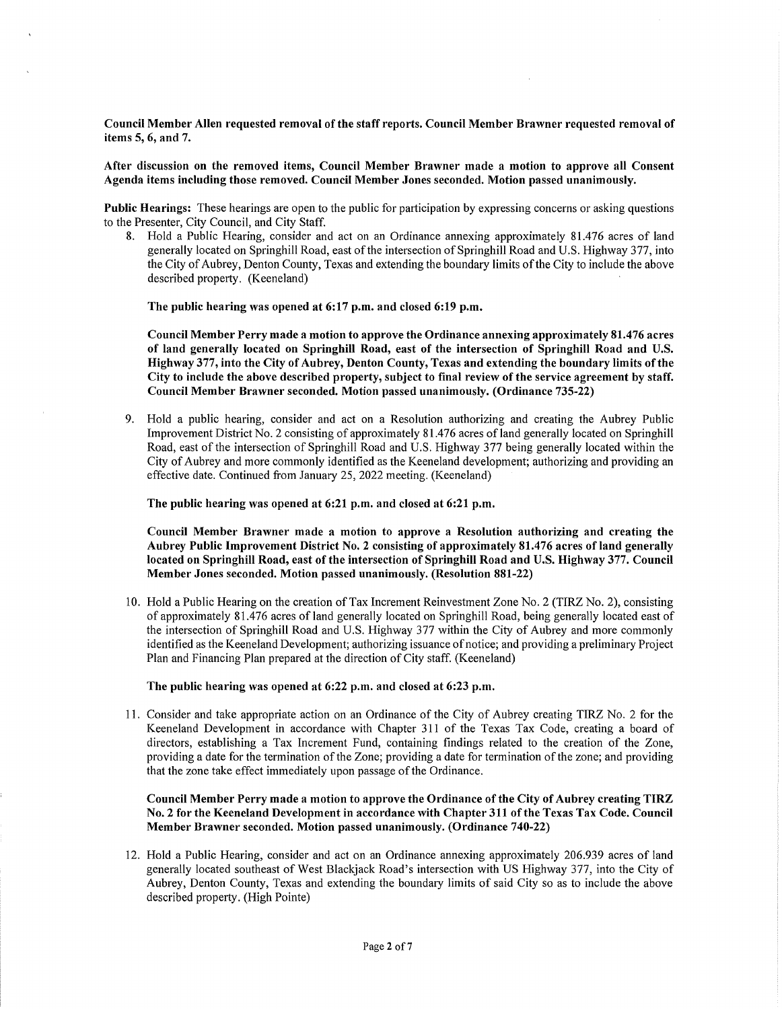**Council Member Allen requested removal of the staff reports. Council Member Brawner requested removal of items 5, 6, and** 7.

**After discussion on the removed items, Council Member Brawner made a motion to approve all Consent Agenda items including those removed. Council Member Jones seconded. Motion passed unanimously.** 

**Public Hearings:** These hearings are open to the public for participation by expressing concerns or asking questions to the Presenter, City Council, and City Staff.

8. Hold a Public Hearing, consider and act on an Ordinance annexing approximately 81.476 acres of land generally located on Springhill Road, east of the intersection of Springhill Road and U.S. Highway 377, into the City of Aubrey, Denton County, Texas and extending the boundary limits of the City to include the above described property. (Keeneland)

**The public hearing was opened at 6:17 p.m. and closed 6:19 p.m.** 

**Council Member Perry made a motion to approve the Ordinance annexing approximately 81.476 acres of land generally located on Springhill Road, east of the intersection of Springhill Road and U.S. Highway 377, into the City of Aubrey, Denton County, Texas and extending the boundary limits of the City to include the above described property, subject to final review of the service agreement by staff. Council Member Brawner seconded. Motion passed unanimously. (Ordinance 735-22)** 

9. Hold a public hearing, consider and act on a Resolution authorizing and creating the Aubrey Public Improvement District No. 2 consisting of approximately 81.476 acres of land generally located on Springhill Road, east of the intersection of Springhill Road and U.S. Highway 377 being generally located within the City of Aubrey and more commonly identified as the Keeneland development; authorizing and providing an effective date. Continued from January 25, 2022 meeting. (Keeneland)

**The public hearing was opened at 6:21 p.m. and closed at 6:21 p.m.** 

**Council Member Brawner made a motion to approve a Resolution authorizing and creating the Aubrey Public Improvement District No. 2 consisting of approximately 81.476 acres of land generally located on Springhill Road, east of the intersection of Springhill Road and U.S. Highway 377. Council Member Jones seconded. Motion passed unanimously. (Resolution 881-22)** 

10. Hold a Public Hearing on the creation of Tax Increment Reinvestment Zone No. 2 (TIRZ No. 2), consisting of approximately 81.476 acres of land generally located on Springhill Road, being generally located east of the intersection of Springhill Road and U.S. Highway 377 within the City of Aubrey and more commonly identified as the Keeneland Development; authorizing issuance of notice; and providing a preliminary Project Plan and Financing Plan prepared at the direction of City staff. (Keeneland)

**The public hearing was opened at 6:22 p.m. and closed at 6:23 p.m.** 

11. Consider and take appropriate action on an Ordinance of the City of Aubrey creating TIRZ No. 2 for the Keeneland Development in accordance with Chapter 311 of the Texas Tax Code, creating a board of directors, establishing a Tax Increment Fund, containing findings related to the creation of the Zone, providing a date for the termination of the Zone; providing a date for termination of the zone; and providing that the zone take effect immediately upon passage of the Ordinance.

## **Council Member Perry made a motion to approve the Ordinance of the City of Aubrey creating TIRZ No. 2 for the Keeneland Development in accordance with Chapter 311 of the Texas Tax Code. Council Member Brawner seconded. Motion passed unanimously. (Ordinance 740-22)**

12. Hold a Public Hearing, consider and act on an Ordinance annexing approximately 206.939 acres of land generally located southeast of West Blackjack Road's intersection with US Highway 377, into the City of Aubrey, Denton County, Texas and extending the boundary limits of said City so as to include the above described property. (High Pointe)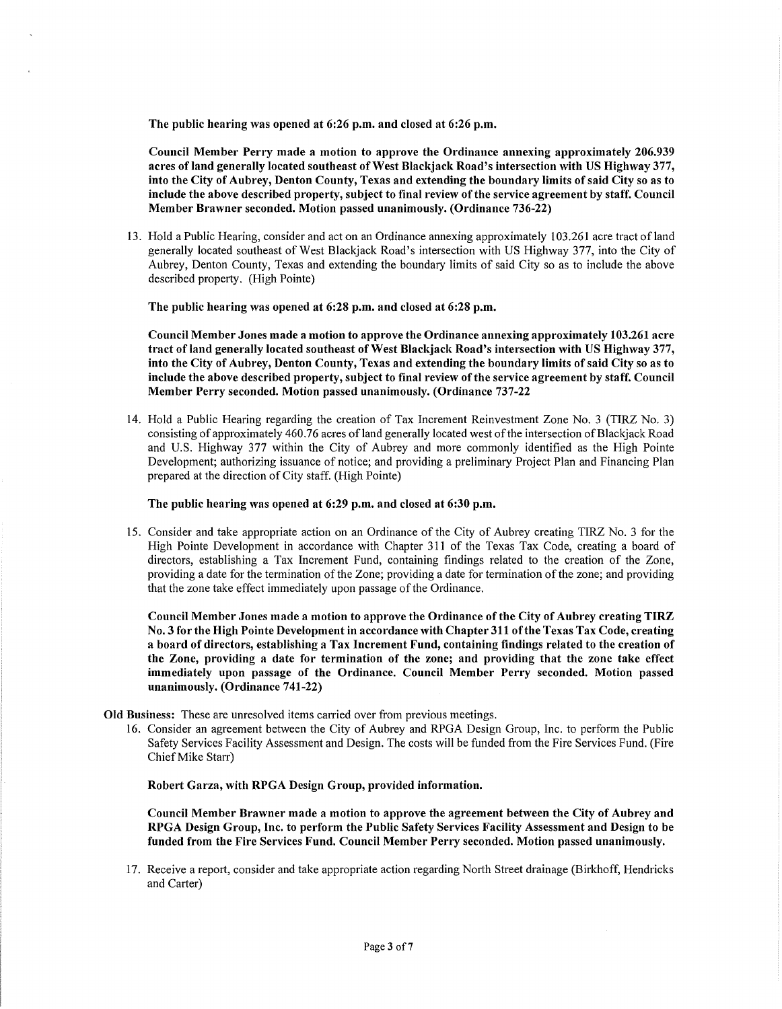**The public hearing was opened at 6:26 p.m. and closed at 6:26 p.m.** 

**Council Member Perry made a motion to approve the Ordinance annexing approximately 206.939 acres of land generally located southeast of West Blackjack Road's intersection with US Highway 377, into the City of Aubrey, Denton County, Texas and extending the boundary limits of said City so as to include the above described property, subject to final review of the service agreement by staff. Council Member Brawner seconded. Motion passed unanimously. (Ordinance 736-22)** 

13. Hold a Public Hearing, consider and act on an Ordinance annexing approximately 103.261 acre tract ofland generally located southeast of West Blackjack Road's intersection with US Highway 377, into the City of Aubrey, Denton County, Texas and extending the boundary limits of said City so as to include the above described property. (High Pointe)

**The public hearing was opened at 6:28 p.m. and closed at 6:28 p.m.** 

**Council Member Jones made a motion to approve the Ordinance annexing approximately 103.261 acre tract of land generally located southeast of West Blackjack Road's intersection with US Highway 377, into the City of Aubrey, Denton County, Texas and extending the boundary limits of said City so as to include the above described property, subject to final review of the service agreement by staff. Council Member Perry seconded. Motion passed unanimously. (Ordinance 737-22** 

14. Hold a Public Hearing regarding the creation of Tax Increment Reinvestment Zone No. 3 (TIRZ No. 3) consisting of approximately 460.76 acres ofland generally located west of the intersection of Blackjack Road and U.S. Highway 377 within the City of Aubrey and more commonly identified as the High Pointe Development; authorizing issuance of notice; and providing a preliminary Project Plan and Financing Plan prepared at the direction of City staff. (High Pointe)

**The public hearing was opened at 6:29 p.m. and closed at 6:30 p.m.** 

15. Consider and take appropriate action on an Ordinance of the City of Aubrey creating TIRZ No. 3 for the High Pointe Development in accordance with Chapter 311 of the Texas Tax Code, creating a board of directors, establishing a Tax Increment Fund, containing findings related to the creation of the Zone, providing a date for the termination of the Zone; providing a date for termination of the zone; and providing that the zone take effect immediately upon passage of the Ordinance.

**Council Member Jones made a motion to approve the Ordinance of the City of Aubrey creating TIRZ No. 3 for the High Pointe Development in accordance with Chapter 311 of the Texas Tax Code, creating a board of directors, establishing a Tax Increment Fund, containing findings related to the creation of the Zone, providing a date for termination of the zone; and providing that the zone take effect immediately upon passage of the Ordinance. Council Member Perry seconded. Motion passed unanimously. (Ordinance 741-22)** 

- **Old Business:** These are unresolved items carried over from previous meetings.
	- 16. Consider an agreement between the City of Aubrey and RPGA Design Group, Inc. to perform the Public Safety Services Facility Assessment and Design. The costs will be funded from the Fire Services Fund. (Fire Chief Mike Starr)

**Robert Garza, with RPGA Design Group, provided information.** 

**Council Member Brawner made a motion to approve the agreement between the City of Aubrey and RPGA Design Group, Inc. to perform the Public Safety Services Facility Assessment and Design to be funded from the Fire Services Fund. Council Member Perry seconded. Motion passed unanimously.** 

17. Receive a report, consider and take appropriate action regarding North Street drainage (Birkhoff, Hendricks and Carter)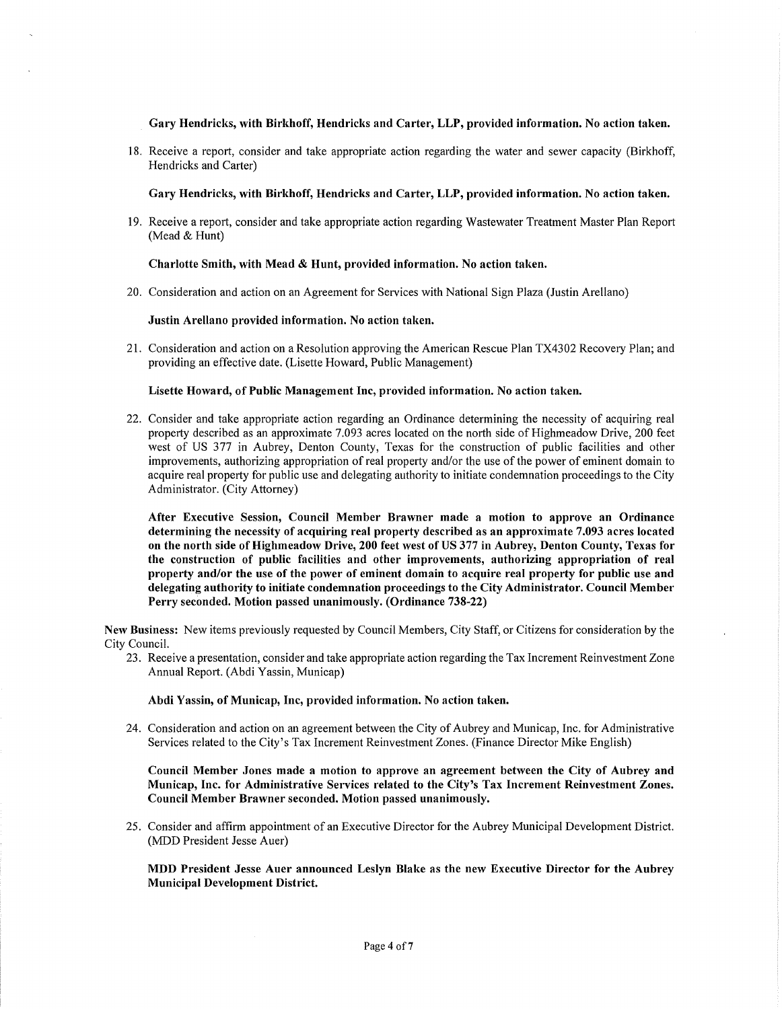**Gary Hendricks, with Birkhoff, Hendricks and Carter, LLP, provided information. No action taken.** 

18. Receive a report, consider and take appropriate action regarding the water and sewer capacity (Birkhoff, Hendricks and Carter)

**Gary Hendricks, with Birkhoff, Hendricks and Carter, LLP, provided information. No action taken.** 

19. Receive a report, consider and take appropriate action regarding Wastewater Treatment Master Plan Report (Mead & Hunt)

#### **Charlotte Smith, with Mead** & **Hunt, provided information. No action taken.**

20. Consideration and action on an Agreement for Services with National Sign Plaza (Justin Arellano)

#### **Justin Arellano provided information. No action taken.**

21. Consideration and action on a Resolution approving the American Rescue Plan TX4302 Recovery Plan; and providing an effective date. (Lisette Howard, Public Management)

#### **Lisette Howard, of Public Management Inc, provided information. No action taken.**

22. Consider and take appropriate action regarding an Ordinance determining the necessity of acquiring real property described as an approximate 7.093 acres located on the north side of Highmeadow Drive, 200 feet west of US 377 in Aubrey, Denton County, Texas for the construction of public facilities and other improvements, authorizing appropriation of real property and/or the use of the power of eminent domain to acquire real property for public use and delegating authority to initiate condemnation proceedings to the City Administrator. (City Attorney)

**After Executive Session, Council Member Brawner made a motion to approve an Ordinance determining the necessity of acquiring real property described as an approximate 7.093 acres located on the north side of Highmeadow Drive, 200 feet west of US 377 in Aubrey, Denton County, Texas for the construction of public facilities and other improvements, authorizing appropriation of real property and/or the use of the power of eminent domain to acquire real property for public use and delegating authority to initiate condemnation proceedings to the City Administrator. Council Member Perry seconded. Motion passed unanimously. (Ordinance 738-22)** 

**New Business:** New items previously requested by Council Members, City Staff, or Citizens for consideration by the City Council.

23. Receive a presentation, consider and take appropriate action regarding the Tax Increment Reinvestment Zone Annual Report. (Abdi Yassin, Municap)

#### **Abdi Yassin, of Municap, Inc, provided information. No action taken.**

24. Consideration and action on an agreement between the City of Aubrey and Municap, Inc. for Administrative Services related to the City's Tax Increment Reinvestment Zones. (Finance Director Mike English)

**Council Member Jones made a motion to approve an agreement between the City of Aubrey and Municap, Inc. for Administrative Services related to the City's Tax Increment Reinvestment Zones. Council Member Brawner seconded. Motion passed unanimously.** 

25. Consider and affirm appointment of an Executive Director for the Aubrey Municipal Development District. (MDD President Jesse Auer)

**MDD President Jesse Auer announced Leslyn Blake as the new Executive Director for the Aubrey Municipal Development District.**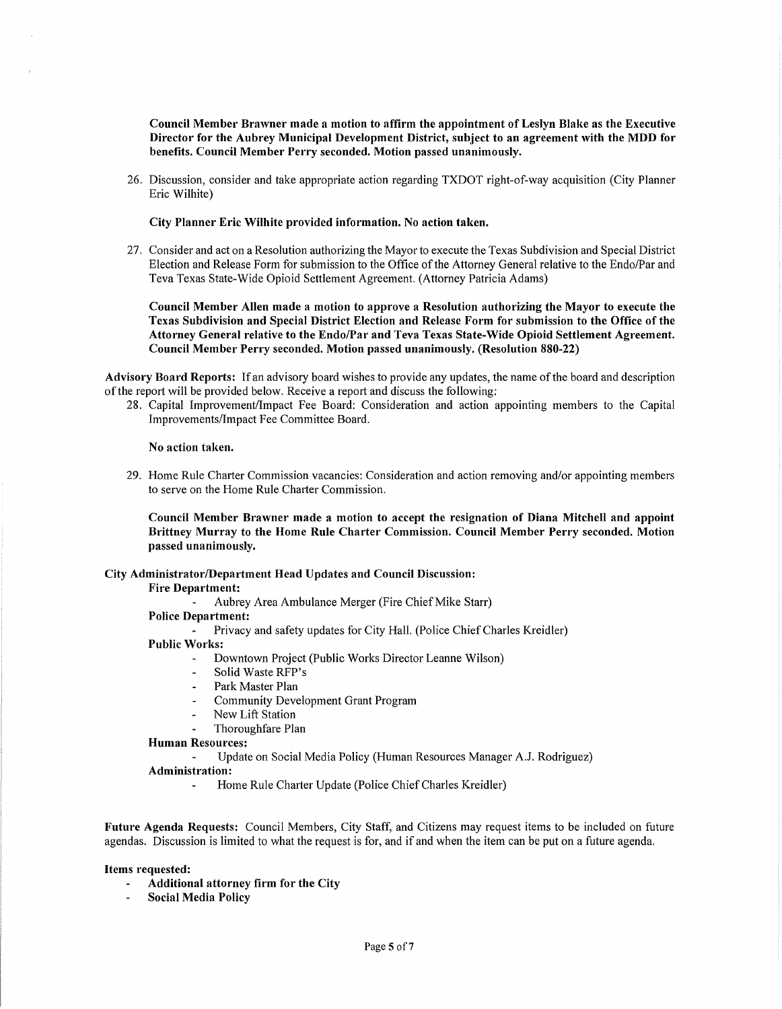Council Member Brawner made a motion to affirm the appointment of Leslyn Blake as the Executive Director for the Aubrey Municipal Development District, subject to an agreement with the **MOD** for **benefits. Council Member Perry seconded. Motion passed unanimously.** 

26. Discussion, consider and take appropriate action regarding TXDOT right-of-way acquisition (City Planner Eric Wilhite)

**City Planner Eric Wilhite provided information. No action taken.** 

27. Consider and act on a Resolution authorizing the Mayor to execute the Texas Subdivision and Special District Election and Release Form for submission to the Office of the Attorney General relative to the Endo/Par and Teva Texas State-Wide Opioid Settlement Agreement. (Attorney Patricia Adams)

**Council Member Allen made a motion to approve a Resolution authorizing the Mayor to execute the Texas Subdivision and Special District Election and Release Form for submission to the Office of the Attorney General relative to the Endo/Par and Teva Texas State-Wide Opioid Settlement Agreement. Council Member Perry seconded. Motion passed unanimously. (Resolution 880-22)** 

**Advisory Board Reports:** Ifan advisory board wishes to provide any updates, the name of the board and description of the report will be provided below. Receive a report and discuss the following:

28. Capital Improvement/Impact Fee Board: Consideration and action appointing members to the Capital Improvements/Impact Fee Committee Board.

#### **No action taken.**

29. Home Rule Charter Commission vacancies: Consideration and action removing and/or appointing members to serve on the Home Rule Charter Commission.

**Council Member Brawner made a motion to accept the resignation of Diana Mitchell and appoint Brittney Murray to the Home Rule Charter Commission. Council Member Perry seconded. Motion passed unanimously.** 

#### **City Administrator/Department Head Updates and Council Discussion:**

**Fire Department:** 

Aubrey Area Ambulance Merger (Fire Chief Mike Starr)

**Police Department:** 

Privacy and safety updates for City Hall. (Police Chief Charles Kreidler)

### **Public Works:**

- Downtown Project (Public Works Director Leanne Wilson)
- Solid Waste RFP's
- Park Master Plan
- Community Development Grant Program
- New Lift Station
- Thoroughfare Plan

#### **Human Resources:**

Update on Social Media Policy (Human Resources Manager A.J. Rodriguez)

### **Administration:**

Home Rule Charter Update (Police Chief Charles Kreidler)

**Future Agenda Requests:** Council Members, City Staff, and Citizens may request items to be included on future agendas. Discussion is limited to what the request is for, and if and when the item can be put on a future agenda.

#### **Items requested:**

- **Additional attorney firm for the City**
- **Social Media Policy**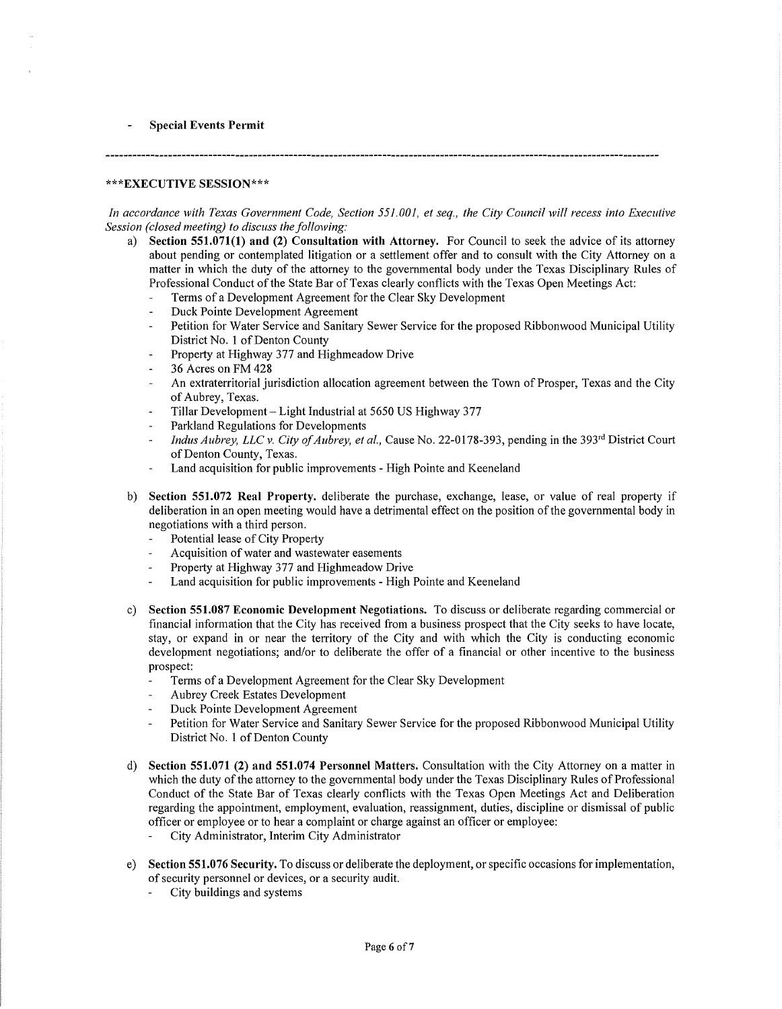### **Special Events Permit**

#### **\*\*\*EXECUTIVE SESSION\*\*\***

*In accordance with Texas Government Code, Section 551.001, et seq., the City Council will recess into Executive Session (closed meeting) to discuss the following:* 

- a) **Section 551.071(1) and (2) Consultation with Attorney.** For Council to seek the advice of its attorney about pending or contemplated litigation or a settlement offer and to consult with the City Attorney on a matter in which the duty of the attorney to the governmental body under the Texas Disciplinary Rules of Professional Conduct of the State Bar of Texas clearly conflicts with the Texas Open Meetings Act:
	- Terms of a Development Agreement for the Clear Sky Development
	- Duck Pointe Development Agreement
	- Petition for Water Service and Sanitary Sewer Service for the proposed Ribbonwood Municipal Utility District No. 1 of Denton County
	- Property at Highway 377 and Highmeadow Drive
	- 36 Acres on FM 428
	- An extraterritorial jurisdiction allocation agreement between the Town of Prosper, Texas and the City of Aubrey, Texas.
	- Tillar Development Light Industrial at 5650 US Highway 377
	- Parkland Regulations for Developments
	- *Indus Aubrey, LLC v. City of Aubrey, et al., Cause No.* 22-0178-393, pending in the 393<sup>rd</sup> District Court of Denton County, Texas.
	- Land acquisition for public improvements High Pointe and Keeneland
- b) **Section 551.072 Real Property.** deliberate the purchase, exchange, lease, or value of real property if deliberation in an open meeting would have a detrimental effect on the position of the governmental body in negotiations with a third person.
	- Potential lease of City Property
	- Acquisition of water and wastewater easements
	- Property at Highway 377 and Highmeadow Drive
	- Land acquisition for public improvements High Pointe and Keeneland  $\overline{a}$
- c) **Section 551.087 Economic Development Negotiations.** To discuss or deliberate regarding commercial or financial information that the City has received from a business prospect that the City seeks to have locate, stay, or expand in or near the territory of the City and with which the City is conducting economic development negotiations; and/or to deliberate the offer of a financial or other incentive to the business prospect:
	- Terms of a Development Agreement for the Clear Sky Development
	- Aubrey Creek Estates Development
	- Duck Pointe Development Agreement
	- Petition for Water Service and Sanitary Sewer Service for the proposed Ribbonwood Municipal Utility District No. 1 of Denton County
- d) **Section 551.071 (2) and 551.074 Personnel Matters.** Consultation with the City Attorney on a matter in which the duty of the attorney to the governmental body under the Texas Disciplinary Rules of Professional Conduct of the State Bar of Texas clearly conflicts with the Texas Open Meetings Act and Deliberation regarding the appointment, employment, evaluation, reassignment, duties, discipline or dismissal of public officer or employee or to hear a complaint or charge against an officer or employee:
	- City Administrator, Interim City Administrator  $\overline{\phantom{a}}$
- e) **Section 551.076 Security.** To discuss or deliberate the deployment, or specific occasions for implementation, of security personnel or devices, or a security audit.
	- City buildings and systems